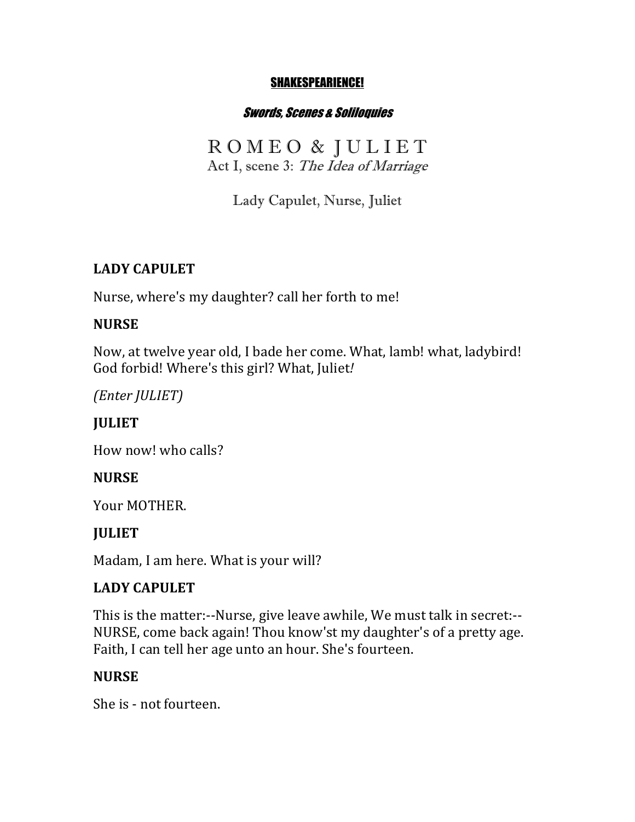#### SHAKESPEARIENCE!

#### Swords, Scenes & Soliloquies

R O M E O & J U L I E T Act I, scene 3: The Idea of Marriage

Lady Capulet, Nurse, Juliet

#### **LADY CAPULET**

Nurse, where's my daughter? call her forth to me!

#### **NURSE**

Now, at twelve year old, I bade her come. What, lamb! what, ladybird! God forbid! Where's this girl? What, Juliet!

*(Enter JULIET)*

## **IULIET**

How now! who calls?

### **NURSE**

Your MOTHER.

### **JULIET**

Madam, I am here. What is your will?

### **LADY CAPULET**

This is the matter:--Nurse, give leave awhile, We must talk in secret:--NURSE, come back again! Thou know'st my daughter's of a pretty age. Faith, I can tell her age unto an hour. She's fourteen.

#### **NURSE**

She is - not fourteen.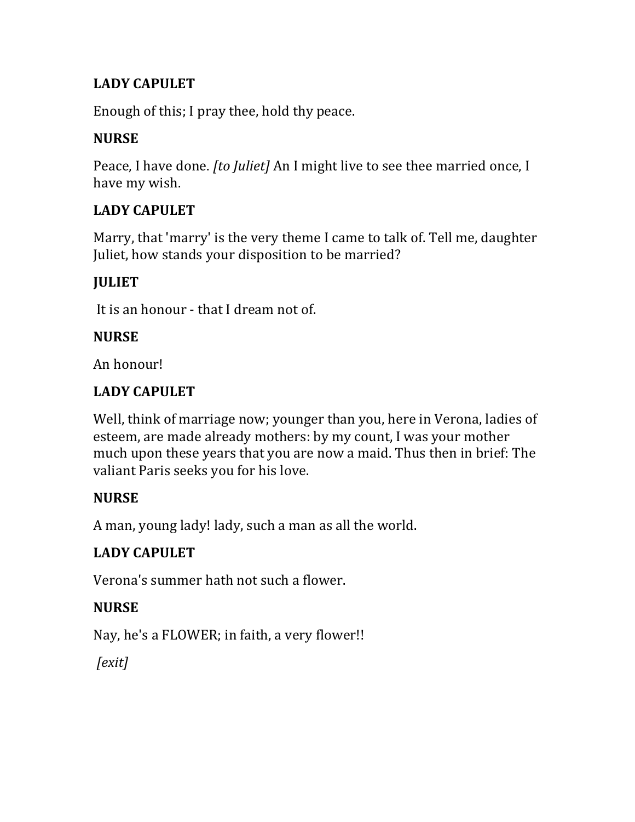## **LADY CAPULET**

Enough of this; I pray thee, hold thy peace.

### **NURSE**

Peace, I have done. *[to Juliet]* An I might live to see thee married once, I have my wish.

### **LADY CAPULET**

Marry, that 'marry' is the very theme I came to talk of. Tell me, daughter Juliet, how stands your disposition to be married?

### **JULIET**

It is an honour - that I dream not of.

#### **NURSE**

An honour!

### LADY CAPULET

Well, think of marriage now; younger than you, here in Verona, ladies of esteem, are made already mothers: by my count, I was your mother much upon these years that you are now a maid. Thus then in brief: The valiant Paris seeks you for his love.

### **NURSE**

A man, young lady! lady, such a man as all the world.

## **LADY CAPULET**

Verona's summer hath not such a flower.

### **NURSE**

Nay, he's a FLOWER; in faith, a very flower!!

*[exit]*